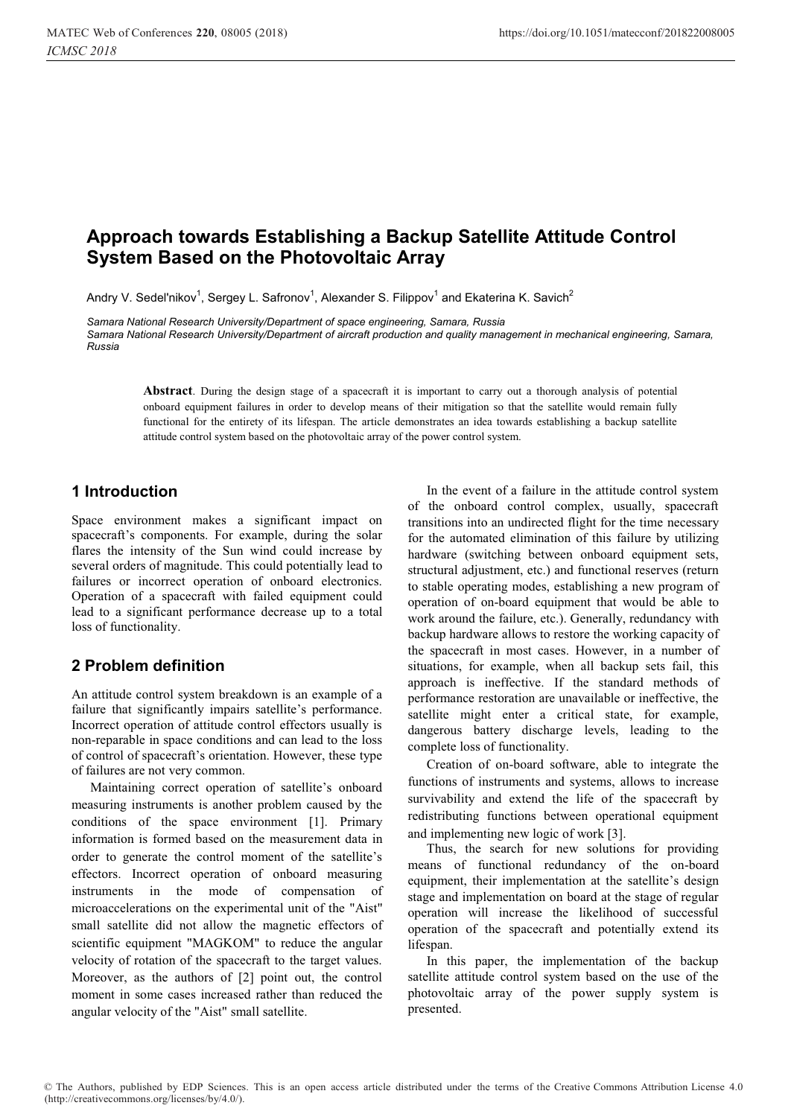# **Approach towards Establishing a Backup Satellite Attitude Control System Based on the Photovoltaic Array**

Andry V. Sedel'nikov<sup>1</sup>, Sergey L. Safronov<sup>1</sup>, Alexander S. Filippov<sup>1</sup> and Ekaterina K. Savich<sup>2</sup>

*Samara National Research University/Department of space engineering, Samara, Russia Samara National Research University/Department of aircraft production and quality management in mechanical engineering, Samara, Russia* 

**Abstract**. During the design stage of a spacecraft it is important to carry out a thorough analysis of potential onboard equipment failures in order to develop means of their mitigation so that the satellite would remain fully functional for the entirety of its lifespan. The article demonstrates an idea towards establishing a backup satellite attitude control system based on the photovoltaic array of the power control system.

### **1 Introduction**

Space environment makes a significant impact on spacecraft's components. For example, during the solar flares the intensity of the Sun wind could increase by several orders of magnitude. This could potentially lead to failures or incorrect operation of onboard electronics. Operation of a spacecraft with failed equipment could lead to a significant performance decrease up to a total loss of functionality.

## **2 Problem definition**

An attitude control system breakdown is an example of a failure that significantly impairs satellite's performance. Incorrect operation of attitude control effectors usually is non-reparable in space conditions and can lead to the loss of control of spacecraft's orientation. However, these type of failures are not very common.

Maintaining correct operation of satellite's onboard measuring instruments is another problem caused by the conditions of the space environment [1]. Primary information is formed based on the measurement data in order to generate the control moment of the satellite's effectors. Incorrect operation of onboard measuring instruments in the mode of compensation of microaccelerations on the experimental unit of the "Aist" small satellite did not allow the magnetic effectors of scientific equipment "MAGKOM" to reduce the angular velocity of rotation of the spacecraft to the target values. Moreover, as the authors of [2] point out, the control moment in some cases increased rather than reduced the angular velocity of the "Aist" small satellite.

In the event of a failure in the attitude control system of the onboard control complex, usually, spacecraft transitions into an undirected flight for the time necessary for the automated elimination of this failure by utilizing hardware (switching between onboard equipment sets, structural adjustment, etc.) and functional reserves (return to stable operating modes, establishing a new program of operation of on-board equipment that would be able to work around the failure, etc.). Generally, redundancy with backup hardware allows to restore the working capacity of the spacecraft in most cases. However, in a number of situations, for example, when all backup sets fail, this approach is ineffective. If the standard methods of performance restoration are unavailable or ineffective, the satellite might enter a critical state, for example, dangerous battery discharge levels, leading to the complete loss of functionality.

Creation of on-board software, able to integrate the functions of instruments and systems, allows to increase survivability and extend the life of the spacecraft by redistributing functions between operational equipment and implementing new logic of work [3].

Thus, the search for new solutions for providing means of functional redundancy of the on-board equipment, their implementation at the satellite's design stage and implementation on board at the stage of regular operation will increase the likelihood of successful operation of the spacecraft and potentially extend its lifespan.

In this paper, the implementation of the backup satellite attitude control system based on the use of the photovoltaic array of the power supply system is presented.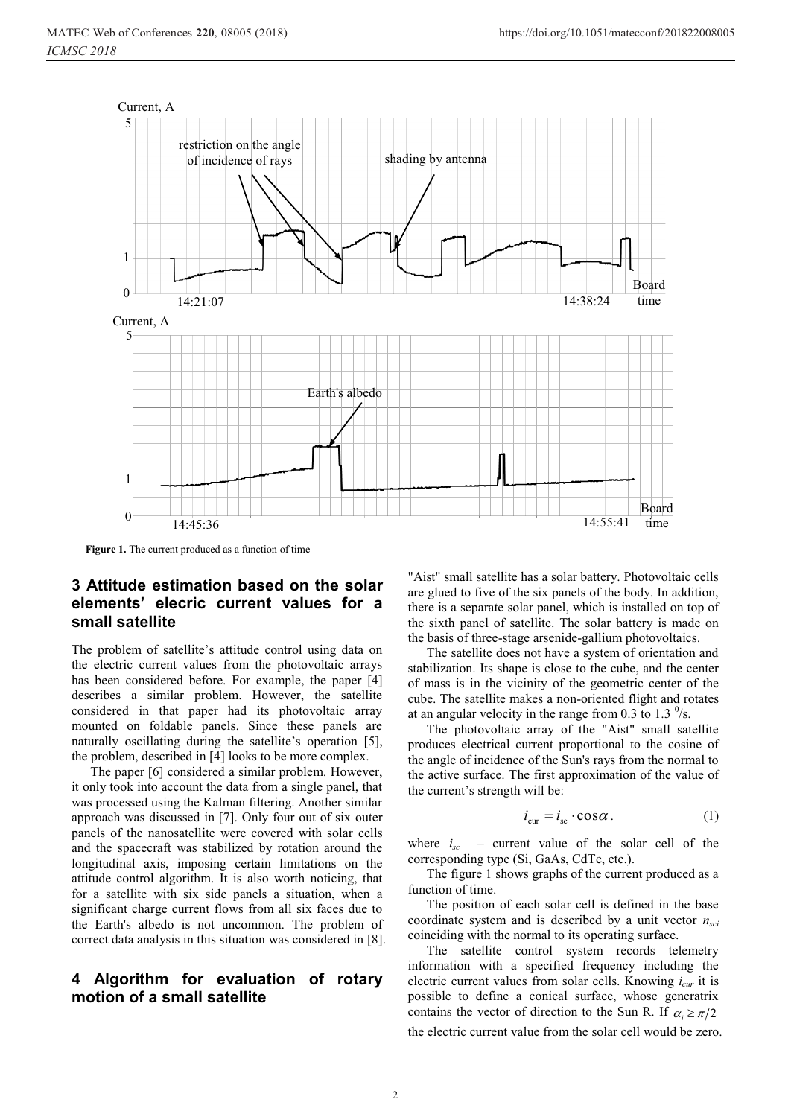

**Figure 1.** The current produced as a function of time

#### **3 Attitude estimation based on the solar elements' elecric current values for a small satellite**

The problem of satellite's attitude control using data on the electric current values from the photovoltaic arrays has been considered before. For example, the paper [4] describes a similar problem. However, the satellite considered in that paper had its photovoltaic array mounted on foldable panels. Since these panels are naturally oscillating during the satellite's operation [5], the problem, described in [4] looks to be more complex.

The paper [6] considered a similar problem. However, it only took into account the data from a single panel, that was processed using the Kalman filtering. Another similar approach was discussed in [7]. Only four out of six outer panels of the nanosatellite were covered with solar cells and the spacecraft was stabilized by rotation around the longitudinal axis, imposing certain limitations on the attitude control algorithm. It is also worth noticing, that for a satellite with six side panels a situation, when a significant charge current flows from all six faces due to the Earth's albedo is not uncommon. The problem of correct data analysis in this situation was considered in [8].

#### **4 Algorithm for evaluation of rotary motion of a small satellite**

"Aist" small satellite has a solar battery. Photovoltaic cells are glued to five of the six panels of the body. In addition, there is a separate solar panel, which is installed on top of the sixth panel of satellite. The solar battery is made on the basis of three-stage arsenide-gallium photovoltaics.

The satellite does not have a system of orientation and stabilization. Its shape is close to the cube, and the center of mass is in the vicinity of the geometric center of the cube. The satellite makes a non-oriented flight and rotates at an angular velocity in the range from 0.3 to 1.3  $\frac{0}{s}$ .

The photovoltaic array of the "Aist" small satellite produces electrical current proportional to the cosine of the angle of incidence of the Sun's rays from the normal to the active surface. The first approximation of the value of the current's strength will be:

$$
i_{\rm cur} = i_{\rm sc} \cdot \cos \alpha \,. \tag{1}
$$

where  $i_{sc}$  – current value of the solar cell of the corresponding type (Si, GaAs, CdTe, etc.).

The figure 1 shows graphs of the current produced as a function of time.

The position of each solar cell is defined in the base coordinate system and is described by a unit vector *nsci* coinciding with the normal to its operating surface.

The satellite control system records telemetry information with a specified frequency including the electric current values from solar cells. Knowing *icur* it is possible to define a conical surface, whose generatrix contains the vector of direction to the Sun R. If  $\alpha_i \ge \pi/2$ the electric current value from the solar cell would be zero.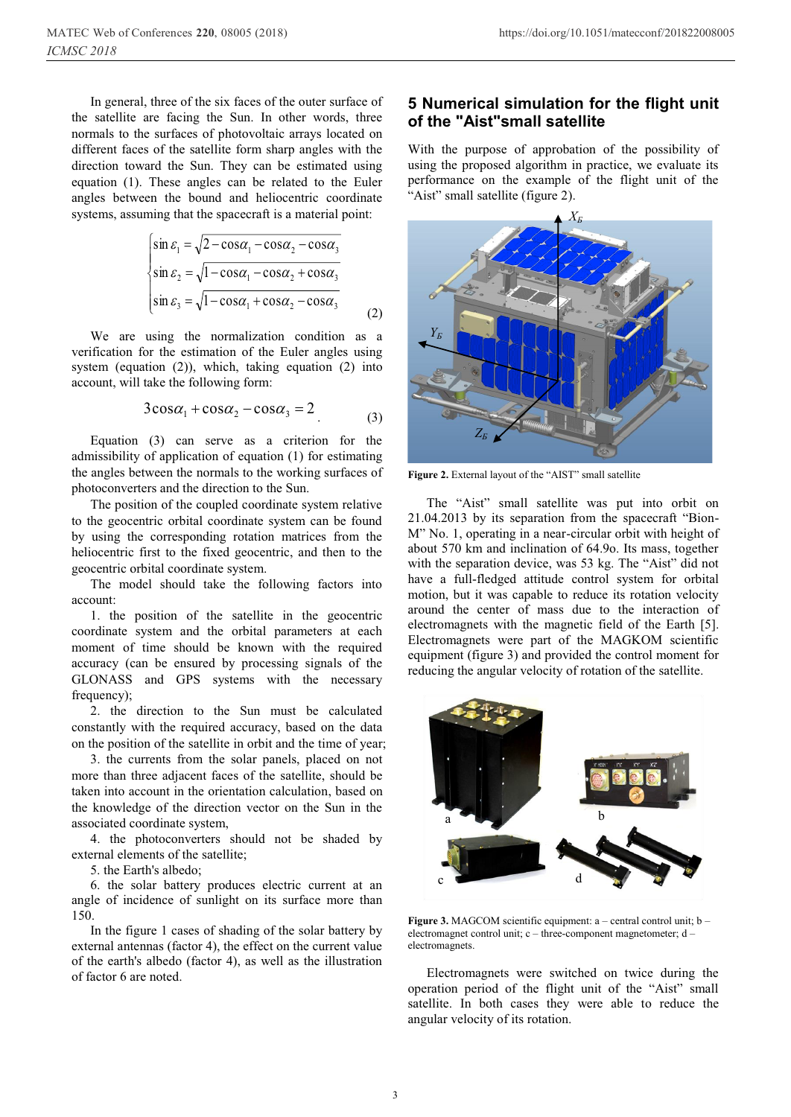In general, three of the six faces of the outer surface of the satellite are facing the Sun. In other words, three normals to the surfaces of photovoltaic arrays located on different faces of the satellite form sharp angles with the direction toward the Sun. They can be estimated using equation (1). These angles can be related to the Euler angles between the bound and heliocentric coordinate systems, assuming that the spacecraft is a material point:

$$
\begin{cases}\n\sin \varepsilon_1 = \sqrt{2 - \cos \alpha_1 - \cos \alpha_2 - \cos \alpha_3} \\
\sin \varepsilon_2 = \sqrt{1 - \cos \alpha_1 - \cos \alpha_2 + \cos \alpha_3} \\
\sin \varepsilon_3 = \sqrt{1 - \cos \alpha_1 + \cos \alpha_2 - \cos \alpha_3}\n\end{cases}
$$
\n(2)

We are using the normalization condition as a verification for the estimation of the Euler angles using system (equation (2)), which, taking equation (2) into account, will take the following form:

$$
3\cos\alpha_1 + \cos\alpha_2 - \cos\alpha_3 = 2
$$
 (3)

Equation (3) can serve as a criterion for the admissibility of application of equation (1) for estimating the angles between the normals to the working surfaces of photoconverters and the direction to the Sun.

The position of the coupled coordinate system relative to the geocentric orbital coordinate system can be found by using the corresponding rotation matrices from the heliocentric first to the fixed geocentric, and then to the geocentric orbital coordinate system.

The model should take the following factors into account:

1. the position of the satellite in the geocentric coordinate system and the orbital parameters at each moment of time should be known with the required accuracy (can be ensured by processing signals of the GLONASS and GPS systems with the necessary frequency);

2. the direction to the Sun must be calculated constantly with the required accuracy, based on the data on the position of the satellite in orbit and the time of year;

3. the currents from the solar panels, placed on not more than three adjacent faces of the satellite, should be taken into account in the orientation calculation, based on the knowledge of the direction vector on the Sun in the associated coordinate system,

4. the photoconverters should not be shaded by external elements of the satellite;

5. the Earth's albedo;

6. the solar battery produces electric current at an angle of incidence of sunlight on its surface more than 150.

In the figure 1 cases of shading of the solar battery by external antennas (factor 4), the effect on the current value of the earth's albedo (factor 4), as well as the illustration of factor 6 are noted.

#### **5 Numerical simulation for the flight unit of the "Aist"small satellite**

With the purpose of approbation of the possibility of using the proposed algorithm in practice, we evaluate its performance on the example of the flight unit of the "Aist" small satellite (figure 2).



**Figure 2.** External layout of the "AIST" small satellite

The "Aist" small satellite was put into orbit on 21.04.2013 by its separation from the spacecraft "Bion-M" No. 1, operating in a near-circular orbit with height of about 570 km and inclination of 64.9o. Its mass, together with the separation device, was 53 kg. The "Aist" did not have a full-fledged attitude control system for orbital motion, but it was capable to reduce its rotation velocity around the center of mass due to the interaction of electromagnets with the magnetic field of the Earth [5]. Electromagnets were part of the MAGKOM scientific equipment (figure 3) and provided the control moment for reducing the angular velocity of rotation of the satellite.



**Figure 3.** MAGCOM scientific equipment: a – central control unit; b – electromagnet control unit; c – three-component magnetometer; d – electromagnets.

Electromagnets were switched on twice during the operation period of the flight unit of the "Aist" small satellite. In both cases they were able to reduce the angular velocity of its rotation.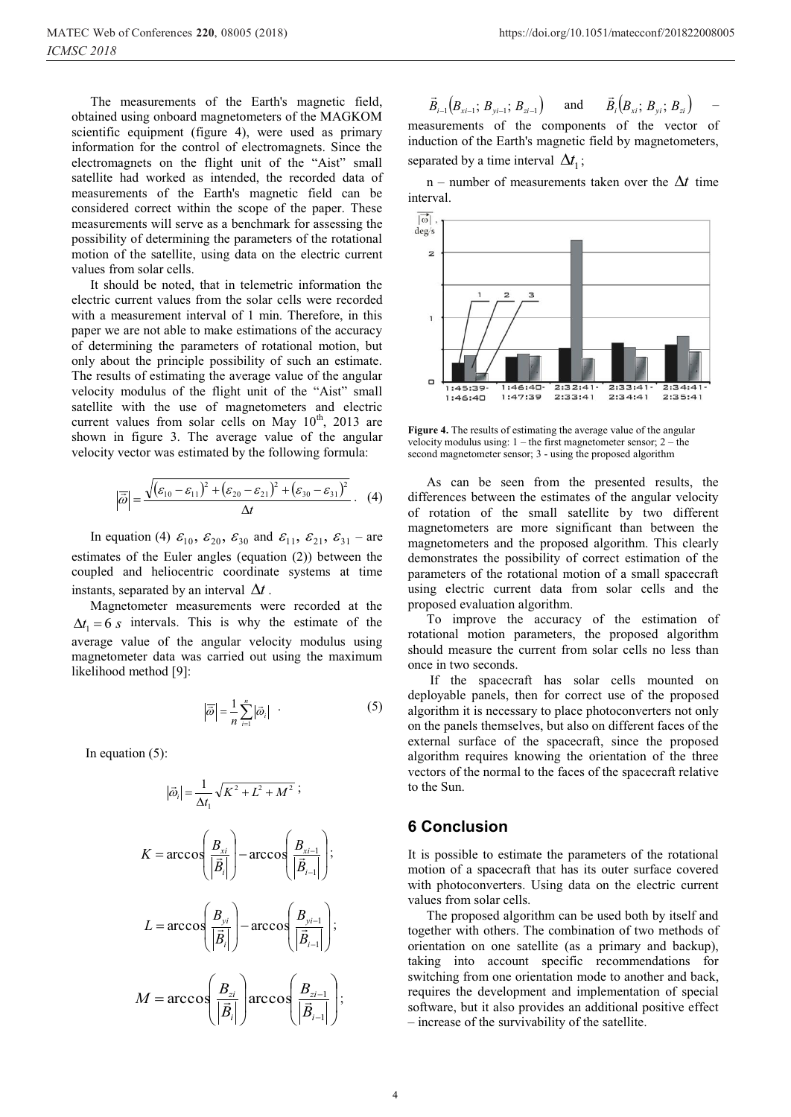values from solar cells.

The measurements of the Earth's magnetic field, obtained using onboard magnetometers of the MAGKOM scientific equipment (figure 4), were used as primary information for the control of electromagnets. Since the electromagnets on the flight unit of the "Aist" small satellite had worked as intended, the recorded data of measurements of the Earth's magnetic field can be considered correct within the scope of the paper. These measurements will serve as a benchmark for assessing the possibility of determining the parameters of the rotational motion of the satellite, using data on the electric current

It should be noted, that in telemetric information the electric current values from the solar cells were recorded with a measurement interval of 1 min. Therefore, in this paper we are not able to make estimations of the accuracy of determining the parameters of rotational motion, but only about the principle possibility of such an estimate. The results of estimating the average value of the angular velocity modulus of the flight unit of the "Aist" small satellite with the use of magnetometers and electric current values from solar cells on May  $10^{th}$ , 2013 are shown in figure 3. The average value of the angular velocity vector was estimated by the following formula:

$$
\left|\overrightarrow{\omega}\right| = \frac{\sqrt{(\varepsilon_{10} - \varepsilon_{11})^2 + (\varepsilon_{20} - \varepsilon_{21})^2 + (\varepsilon_{30} - \varepsilon_{31})^2}}{\Delta t} \ . \tag{4}
$$

In equation (4)  $\varepsilon_{10}$ ,  $\varepsilon_{20}$ ,  $\varepsilon_{30}$  and  $\varepsilon_{11}$ ,  $\varepsilon_{21}$ ,  $\varepsilon_{31}$  – are estimates of the Euler angles (equation (2)) between the coupled and heliocentric coordinate systems at time instants, separated by an interval  $\Delta t$ .

Magnetometer measurements were recorded at the  $\Delta t_1 = 6$  *s* intervals. This is why the estimate of the average value of the angular velocity modulus using magnetometer data was carried out using the maximum likelihood method [9]:

$$
\left|\overline{\vec{\omega}}\right| = \frac{1}{n} \sum_{i=1}^{n} \left|\vec{\omega}_i\right| \quad . \tag{5}
$$

In equation (5):

$$
|\vec{\omega}_{i}| = \frac{1}{\Delta t_{1}} \sqrt{K^{2} + L^{2} + M^{2}} ;
$$
\n
$$
K = \arccos\left(\frac{B_{xi}}{|\vec{B}_{i}|}\right) - \arccos\left(\frac{B_{xi-1}}{|\vec{B}_{i-1}|}\right);
$$
\n
$$
L = \arccos\left(\frac{B_{yi}}{|\vec{B}_{i}|}\right) - \arccos\left(\frac{B_{yi-1}}{|\vec{B}_{i-1}|}\right);
$$
\n
$$
M = \arccos\left(\frac{B_{zi}}{|\vec{B}_{i}|}\right) \arccos\left(\frac{B_{zi-1}}{|\vec{B}_{i-1}|}\right);
$$

 $\vec{B}_{i-1} \big( \!\! B_{\scriptscriptstyle{xi-1}}; \, B_{\scriptscriptstyle{yi-1}}; \, B_{\scriptscriptstyle{zi-1}} \big)$  $\vec{B}_{i-1}(B_{x i - 1}; B_{y i - 1}; B_{z i - 1})$  and  $\vec{B}_{i}(B_{x i}; B_{y i}; B_{z i})$ – measurements of the components of the vector of

induction of the Earth's magnetic field by magnetometers, separated by a time interval  $\Delta t_1$ ;

n – number of measurements taken over the  $\Delta t$  time interval.



**Figure 4.** The results of estimating the average value of the angular velocity modulus using: 1 – the first magnetometer sensor; 2 – the second magnetometer sensor; 3 - using the proposed algorithm

As can be seen from the presented results, the differences between the estimates of the angular velocity of rotation of the small satellite by two different magnetometers are more significant than between the magnetometers and the proposed algorithm. This clearly demonstrates the possibility of correct estimation of the parameters of the rotational motion of a small spacecraft using electric current data from solar cells and the proposed evaluation algorithm.

To improve the accuracy of the estimation of rotational motion parameters, the proposed algorithm should measure the current from solar cells no less than once in two seconds.

 If the spacecraft has solar cells mounted on deployable panels, then for correct use of the proposed algorithm it is necessary to place photoconverters not only on the panels themselves, but also on different faces of the external surface of the spacecraft, since the proposed algorithm requires knowing the orientation of the three vectors of the normal to the faces of the spacecraft relative to the Sun.

#### **6 Conclusion**

It is possible to estimate the parameters of the rotational motion of a spacecraft that has its outer surface covered with photoconverters. Using data on the electric current values from solar cells.

The proposed algorithm can be used both by itself and together with others. The combination of two methods of orientation on one satellite (as a primary and backup), taking into account specific recommendations for switching from one orientation mode to another and back, requires the development and implementation of special software, but it also provides an additional positive effect – increase of the survivability of the satellite.